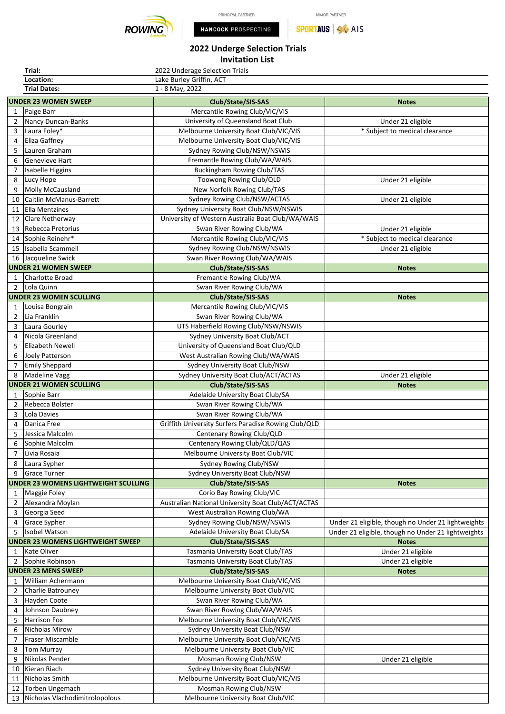

**Trial:**



MAJOR PARTNER **SPORTAUS** AIS

## **2022 Underge Selection Trials Invitation List**

2022 Underage Selection Trials

|                | Location:                                   | Lake Burley Griffin, ACT                             |                                                    |
|----------------|---------------------------------------------|------------------------------------------------------|----------------------------------------------------|
|                | <b>Trial Dates:</b>                         | $1 - 8$ May, 2022                                    |                                                    |
|                | <b>UNDER 23 WOMEN SWEEP</b>                 | Club/State/SIS-SAS                                   | <b>Notes</b>                                       |
| $\mathbf{1}$   | Paige Barr                                  | Mercantile Rowing Club/VIC/VIS                       |                                                    |
| 2              | Nancy Duncan-Banks                          | University of Queensland Boat Club                   | Under 21 eligible                                  |
| 3              | Laura Foley*                                | Melbourne University Boat Club/VIC/VIS               | * Subject to medical clearance                     |
| 4              | Eliza Gaffney                               | Melbourne University Boat Club/VIC/VIS               |                                                    |
| 5              | Lauren Graham                               | Sydney Rowing Club/NSW/NSWIS                         |                                                    |
| 6              | Genevieve Hart                              | Fremantle Rowing Club/WA/WAIS                        |                                                    |
| 7              | Isabelle Higgins                            | <b>Buckingham Rowing Club/TAS</b>                    |                                                    |
| 8              | Lucy Hope                                   | Toowong Rowing Club/QLD                              | Under 21 eligible                                  |
| 9              | <b>Molly McCausland</b>                     | New Norfolk Rowing Club/TAS                          |                                                    |
| 10             | Caitlin McManus-Barrett                     | Sydney Rowing Club/NSW/ACTAS                         | Under 21 eligible                                  |
| 11             | Ella Mentzines                              | Sydney University Boat Club/NSW/NSWIS                |                                                    |
| 12             | Clare Netherway                             | University of Western Australia Boat Club/WA/WAIS    |                                                    |
|                | Rebecca Pretorius                           | Swan River Rowing Club/WA                            |                                                    |
| 13             |                                             |                                                      | Under 21 eligible                                  |
| 14             | Sophie Reinehr*                             | Mercantile Rowing Club/VIC/VIS                       | * Subject to medical clearance                     |
| 15             | Isabella Scammell                           | Sydney Rowing Club/NSW/NSWIS                         | Under 21 eligible                                  |
| 16             | Jacqueline Swick                            | Swan River Rowing Club/WA/WAIS                       |                                                    |
|                | <b>UNDER 21 WOMEN SWEEP</b>                 | Club/State/SIS-SAS                                   | <b>Notes</b>                                       |
| 1              | <b>Charlotte Broad</b>                      | Fremantle Rowing Club/WA                             |                                                    |
| 2              | Lola Quinn                                  | Swan River Rowing Club/WA                            |                                                    |
|                | <b>UNDER 23 WOMEN SCULLING</b>              | Club/State/SIS-SAS                                   | <b>Notes</b>                                       |
| 1              | Louisa Bongrain                             | Mercantile Rowing Club/VIC/VIS                       |                                                    |
| 2              | Lia Franklin                                | Swan River Rowing Club/WA                            |                                                    |
| 3              | Laura Gourley                               | UTS Haberfield Rowing Club/NSW/NSWIS                 |                                                    |
| 4              | Nicola Greenland                            | Sydney University Boat Club/ACT                      |                                                    |
| 5              | <b>Elizabeth Newell</b>                     | University of Queensland Boat Club/QLD               |                                                    |
| 6              | Joely Patterson                             | West Australian Rowing Club/WA/WAIS                  |                                                    |
| 7              | <b>Emily Sheppard</b>                       | Sydney University Boat Club/NSW                      |                                                    |
| 8              | <b>Madeline Vagg</b>                        | Sydney University Boat Club/ACT/ACTAS                | Under 21 eligible                                  |
|                | <b>UNDER 21 WOMEN SCULLING</b>              | Club/State/SIS-SAS                                   | <b>Notes</b>                                       |
| 1              | Sophie Barr                                 | Adelaide University Boat Club/SA                     |                                                    |
| 2              | Rebecca Bolster                             | Swan River Rowing Club/WA                            |                                                    |
| 3              | Lola Davies                                 | Swan River Rowing Club/WA                            |                                                    |
| 4              | Danica Free                                 | Griffith University Surfers Paradise Rowing Club/QLD |                                                    |
| 5              | Jessica Malcolm                             | Centenary Rowing Club/QLD                            |                                                    |
| 6              | Sophie Malcolm                              | Centenary Rowing Club/QLD/QAS                        |                                                    |
| $\overline{7}$ | Livia Rosaia                                | Melbourne University Boat Club/VIC                   |                                                    |
| 8              | Laura Sypher                                | Sydney Rowing Club/NSW                               |                                                    |
| 9              | <b>Grace Turner</b>                         | Sydney University Boat Club/NSW                      |                                                    |
|                | <b>UNDER 23 WOMENS LIGHTWEIGHT SCULLING</b> | Club/State/SIS-SAS                                   | <b>Notes</b>                                       |
| 1              | Maggie Foley                                | Corio Bay Rowing Club/VIC                            |                                                    |
| $\overline{2}$ | Alexandra Moylan                            | Australian National University Boat Club/ACT/ACTAS   |                                                    |
| 3              | Georgia Seed                                | West Australian Rowing Club/WA                       |                                                    |
| 4              | <b>Grace Sypher</b>                         | Sydney Rowing Club/NSW/NSWIS                         | Under 21 eligible, though no Under 21 lightweights |
| 5              | Isobel Watson                               | Adelaide University Boat Club/SA                     | Under 21 eligible, though no Under 21 lightweights |
|                | <b>UNDER 23 WOMENS LIGHTWEIGHT SWEEP</b>    | Club/State/SIS-SAS                                   | <b>Notes</b>                                       |
| 1              | Kate Oliver                                 | Tasmania University Boat Club/TAS                    | Under 21 eligible                                  |
| 2              | Sophie Robinson                             | Tasmania University Boat Club/TAS                    | Under 21 eligible                                  |
|                | <b>UNDER 23 MENS SWEEP</b>                  | Club/State/SIS-SAS                                   | <b>Notes</b>                                       |
| 1              | William Achermann                           | Melbourne University Boat Club/VIC/VIS               |                                                    |
| 2              | Charlie Batrouney                           | Melbourne University Boat Club/VIC                   |                                                    |
| 3              | Hayden Coote                                | Swan River Rowing Club/WA                            |                                                    |
| 4              | Johnson Daubney                             | Swan River Rowing Club/WA/WAIS                       |                                                    |
| 5              | <b>Harrison Fox</b>                         | Melbourne University Boat Club/VIC/VIS               |                                                    |
| 6              | <b>Nicholas Mirow</b>                       | Sydney University Boat Club/NSW                      |                                                    |
| 7              | Fraser Miscamble                            | Melbourne University Boat Club/VIC/VIS               |                                                    |
| 8              | <b>Tom Murray</b>                           | Melbourne University Boat Club/VIC                   |                                                    |
| 9              | Nikolas Pender                              | Mosman Rowing Club/NSW                               | Under 21 eligible                                  |
| 10             | Kieran Riach                                | Sydney University Boat Club/NSW                      |                                                    |
| 11             | Nicholas Smith                              | Melbourne University Boat Club/VIC/VIS               |                                                    |
| 12             | Torben Ungemach                             | Mosman Rowing Club/NSW                               |                                                    |
|                | 13 Nicholas Vlachodimitrolopolous           | Melbourne University Boat Club/VIC                   |                                                    |
|                |                                             |                                                      |                                                    |